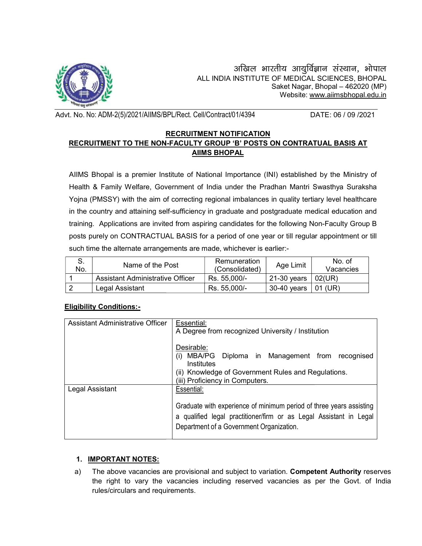

Advt. No. No: ADM-2(5)/2021/AIIMS/BPL/Rect. Cell/Contract/01/4394 DATE: 06 / 09 /2021

## RECRUITMENT NOTIFICATION RECRUITMENT TO THE NON-FACULTY GROUP 'B' POSTS ON CONTRATUAL BASIS AT AIIMS BHOPAL

| ು.<br>No. | Name of the Post                 | Remuneration<br>(Consolidated) | Age Limit     | No. of<br>Vacancies |
|-----------|----------------------------------|--------------------------------|---------------|---------------------|
|           | Assistant Administrative Officer | Rs. 55,000/-                   | $21-30$ years | 02(UR)              |
|           | Legal Assistant                  | Rs. 55.000/-                   | 30-40 vears   | 01 (UR)             |

### Eligibility Conditions:-

|                                  |                                                                                                   |                                                                                        |                                                                                                                                           |             | अखिल भारतीय आयुर्विज्ञान संस्थान, भोपाल |  |  |  |  |
|----------------------------------|---------------------------------------------------------------------------------------------------|----------------------------------------------------------------------------------------|-------------------------------------------------------------------------------------------------------------------------------------------|-------------|-----------------------------------------|--|--|--|--|
|                                  |                                                                                                   |                                                                                        | ALL INDIA INSTITUTE OF MEDICAL SCIENCES, BHOPAL                                                                                           |             | Saket Nagar, Bhopal - 462020 (MP)       |  |  |  |  |
|                                  |                                                                                                   |                                                                                        |                                                                                                                                           |             | Website: www.aiimsbhopal.edu.in         |  |  |  |  |
|                                  | vt. No. No: ADM-2(5)/2021/AIIMS/BPL/Rect. Cell/Contract/01/4394                                   |                                                                                        |                                                                                                                                           |             | DATE: 06 / 09 /2021                     |  |  |  |  |
|                                  |                                                                                                   |                                                                                        | <b>RECRUITMENT NOTIFICATION</b>                                                                                                           |             |                                         |  |  |  |  |
|                                  | RECRUITMENT TO THE NON-FACULTY GROUP 'B' POSTS ON CONTRATUAL BASIS AT                             |                                                                                        |                                                                                                                                           |             |                                         |  |  |  |  |
|                                  |                                                                                                   |                                                                                        | <b>AIIMS BHOPAL</b>                                                                                                                       |             |                                         |  |  |  |  |
|                                  | AIIMS Bhopal is a premier Institute of National Importance (INI) established by the Ministry of   |                                                                                        |                                                                                                                                           |             |                                         |  |  |  |  |
|                                  | Health & Family Welfare, Government of India under the Pradhan Mantri Swasthya Suraksha           |                                                                                        |                                                                                                                                           |             |                                         |  |  |  |  |
|                                  | Yojna (PMSSY) with the aim of correcting regional imbalances in quality tertiary level healthcare |                                                                                        |                                                                                                                                           |             |                                         |  |  |  |  |
|                                  | in the country and attaining self-sufficiency in graduate and postgraduate medical education and  |                                                                                        |                                                                                                                                           |             |                                         |  |  |  |  |
|                                  | training. Applications are invited from aspiring candidates for the following Non-Faculty Group B |                                                                                        |                                                                                                                                           |             |                                         |  |  |  |  |
|                                  | posts purely on CONTRACTUAL BASIS for a period of one year or till regular appointment or till    |                                                                                        |                                                                                                                                           |             |                                         |  |  |  |  |
|                                  |                                                                                                   |                                                                                        |                                                                                                                                           |             |                                         |  |  |  |  |
|                                  | such time the alternate arrangements are made, whichever is earlier:-                             |                                                                                        |                                                                                                                                           |             | No. of                                  |  |  |  |  |
| S.<br>No.                        | Name of the Post                                                                                  |                                                                                        | Remuneration<br>(Consolidated)                                                                                                            | Age Limit   | Vacancies                               |  |  |  |  |
|                                  |                                                                                                   | Assistant Administrative Officer                                                       |                                                                                                                                           | 21-30 years | 02(UR)                                  |  |  |  |  |
| 2                                | Legal Assistant                                                                                   |                                                                                        |                                                                                                                                           | 30-40 years | 01 (UR)                                 |  |  |  |  |
|                                  | <b>Eligibility Conditions:-</b>                                                                   |                                                                                        |                                                                                                                                           |             |                                         |  |  |  |  |
|                                  |                                                                                                   | Essential:                                                                             |                                                                                                                                           |             |                                         |  |  |  |  |
| Assistant Administrative Officer |                                                                                                   |                                                                                        | A Degree from recognized University / Institution                                                                                         |             |                                         |  |  |  |  |
|                                  |                                                                                                   | Desirable:                                                                             |                                                                                                                                           |             |                                         |  |  |  |  |
|                                  |                                                                                                   | (i) MBA/PG                                                                             |                                                                                                                                           |             | Diploma in Management from recognised   |  |  |  |  |
|                                  |                                                                                                   | Institutes                                                                             |                                                                                                                                           |             |                                         |  |  |  |  |
|                                  |                                                                                                   | (ii) Knowledge of Government Rules and Regulations.<br>(iii) Proficiency in Computers. |                                                                                                                                           |             |                                         |  |  |  |  |
| Legal Assistant                  |                                                                                                   | <b>Essential:</b>                                                                      |                                                                                                                                           |             |                                         |  |  |  |  |
|                                  |                                                                                                   |                                                                                        |                                                                                                                                           |             |                                         |  |  |  |  |
|                                  |                                                                                                   |                                                                                        | Graduate with experience of minimum period of three years assisting<br>a qualified legal practitioner/firm or as Legal Assistant in Legal |             |                                         |  |  |  |  |
|                                  |                                                                                                   |                                                                                        | Department of a Government Organization.                                                                                                  |             |                                         |  |  |  |  |
|                                  |                                                                                                   |                                                                                        |                                                                                                                                           |             |                                         |  |  |  |  |
|                                  |                                                                                                   |                                                                                        |                                                                                                                                           |             |                                         |  |  |  |  |
| 1.                               | <b>IMPORTANT NOTES:</b>                                                                           |                                                                                        |                                                                                                                                           |             |                                         |  |  |  |  |
| a)                               | The above vacancies are provisional and subject to variation. Competent Authority reserves        |                                                                                        |                                                                                                                                           |             |                                         |  |  |  |  |
|                                  | the right to vary the vacancies including reserved vacancies as per the Govt. of India            |                                                                                        |                                                                                                                                           |             |                                         |  |  |  |  |

# 1. IMPORTANT NOTES:

a) The above vacancies are provisional and subject to variation. **Competent Authority** reserves the right to vary the vacancies including reserved vacancies as per the Govt. of India rules/circulars and requirements.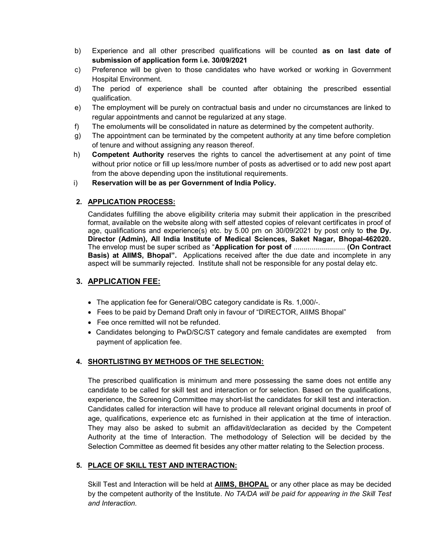- b) Experience and all other prescribed qualifications will be counted as on last date of submission of application form i.e. 30/09/2021
- c) Preference will be given to those candidates who have worked or working in Government Hospital Environment.
- d) The period of experience shall be counted after obtaining the prescribed essential qualification.
- e) The employment will be purely on contractual basis and under no circumstances are linked to regular appointments and cannot be regularized at any stage.
- f) The emoluments will be consolidated in nature as determined by the competent authority.
- g) The appointment can be terminated by the competent authority at any time before completion of tenure and without assigning any reason thereof.
- h) Competent Authority reserves the rights to cancel the advertisement at any point of time without prior notice or fill up less/more number of posts as advertised or to add new post apart from the above depending upon the institutional requirements.

### i) Reservation will be as per Government of India Policy.

## 2. APPLICATION PROCESS:

Candidates fulfilling the above eligibility criteria may submit their application in the prescribed format, available on the website along with self attested copies of relevant certificates in proof of age, qualifications and experience(s) etc. by 5.00 pm on  $30/09/2021$  by post only to the Dy. Director (Admin), All India Institute of Medical Sciences, Saket Nagar, Bhopal-462020. The envelop must be super scribed as "Application for post of .......................... (On Contract **Basis) at AIIMS, Bhopal".** Applications received after the due date and incomplete in any aspect will be summarily rejected. Institute shall not be responsible for any postal delay etc.

# 3. APPLICATION FEE:

- The application fee for General/OBC category candidate is Rs. 1,000/-.
- Fees to be paid by Demand Draft only in favour of "DIRECTOR, AIIMS Bhopal"
- Fee once remitted will not be refunded.
- Candidates belonging to PwD/SC/ST category and female candidates are exempted from payment of application fee.

# 4. SHORTLISTING BY METHODS OF THE SELECTION:

The prescribed qualification is minimum and mere possessing the same does not entitle any candidate to be called for skill test and interaction or for selection. Based on the qualifications, experience, the Screening Committee may short-list the candidates for skill test and interaction. Candidates called for interaction will have to produce all relevant original documents in proof of age, qualifications, experience etc as furnished in their application at the time of interaction. They may also be asked to submit an affidavit/declaration as decided by the Competent Authority at the time of Interaction. The methodology of Selection will be decided by the Selection Committee as deemed fit besides any other matter relating to the Selection process.

### 5. PLACE OF SKILL TEST AND INTERACTION:

Skill Test and Interaction will be held at **AIIMS, BHOPAL** or any other place as may be decided by the competent authority of the Institute. No TA/DA will be paid for appearing in the Skill Test and Interaction.